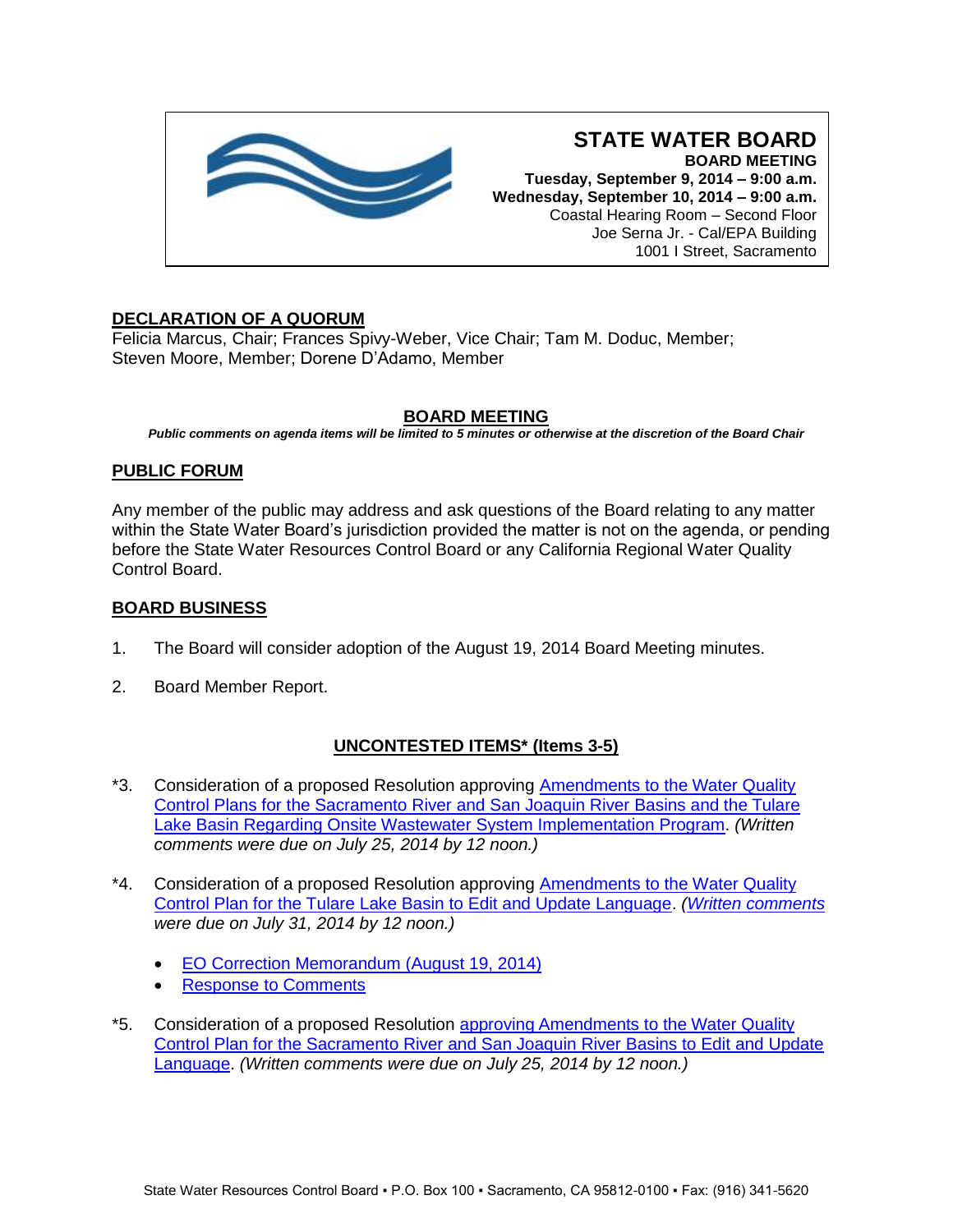

#### **STATE WATER BOARD BOARD MEETING Tuesday, September 9, 2014 – 9:00 a.m. Wednesday, September 10, 2014 – 9:00 a.m.** Coastal Hearing Room – Second Floor Joe Serna Jr. - Cal/EPA Building 1001 I Street, Sacramento

# **DECLARATION OF A QUORUM**

Felicia Marcus, Chair; Frances Spivy-Weber, Vice Chair; Tam M. Doduc, Member; Steven Moore, Member; Dorene D'Adamo, Member

# **BOARD MEETING**

*Public comments on agenda items will be limited to 5 minutes or otherwise at the discretion of the Board Chair*

## **PUBLIC FORUM**

Any member of the public may address and ask questions of the Board relating to any matter within the State Water Board's jurisdiction provided the matter is not on the agenda, or pending before the State Water Resources Control Board or any California Regional Water Quality Control Board.

### **BOARD BUSINESS**

- 1. The Board will consider adoption of the August 19, 2014 Board Meeting minutes.
- 2. Board Member Report.

# **UNCONTESTED ITEMS\* (Items 3-5)**

- \*3. Consideration of a proposed Resolution approving [Amendments to the Water Quality](http://www.waterboards.ca.gov/board_info/agendas/2014/sep/090914_3.pdf)  [Control Plans for the Sacramento River and San Joaquin River Basins and the Tulare](http://www.waterboards.ca.gov/board_info/agendas/2014/sep/090914_3.pdf)  [Lake Basin Regarding Onsite Wastewater System Implementation Program.](http://www.waterboards.ca.gov/board_info/agendas/2014/sep/090914_3.pdf) *(Written comments were due on July 25, 2014 by 12 noon.)*
- \*4. Consideration of a proposed Resolution approving **Amendments to the Water Quality** [Control Plan for the Tulare Lake Basin to Edit and Update Language.](http://www.waterboards.ca.gov/board_info/agendas/2014/sep/090914_4.pdf) *[\(Written comments](http://www.waterboards.ca.gov/public_notices/comments/rb5/commenters_tularelake_bpa.pdf) were due on July 31, 2014 by 12 noon.)*
	- [EO Correction Memorandum \(August 19, 2014\)](http://www.waterboards.ca.gov/board_info/agendas/2014/sep/090914_4_r5eo.pdf)
	- [Response to Comments](http://www.waterboards.ca.gov/board_info/agendas/2014/sep/090914_4_rtc.pdf)
- \*5. Consideration of a proposed Resolution [approving Amendments to the Water Quality](http://www.waterboards.ca.gov/board_info/agendas/2014/sep/090914_5.pdf)  [Control Plan for the Sacramento River and San Joaquin River Basins to Edit and Update](http://www.waterboards.ca.gov/board_info/agendas/2014/sep/090914_5.pdf)  [Language.](http://www.waterboards.ca.gov/board_info/agendas/2014/sep/090914_5.pdf) *(Written comments were due on July 25, 2014 by 12 noon.)*